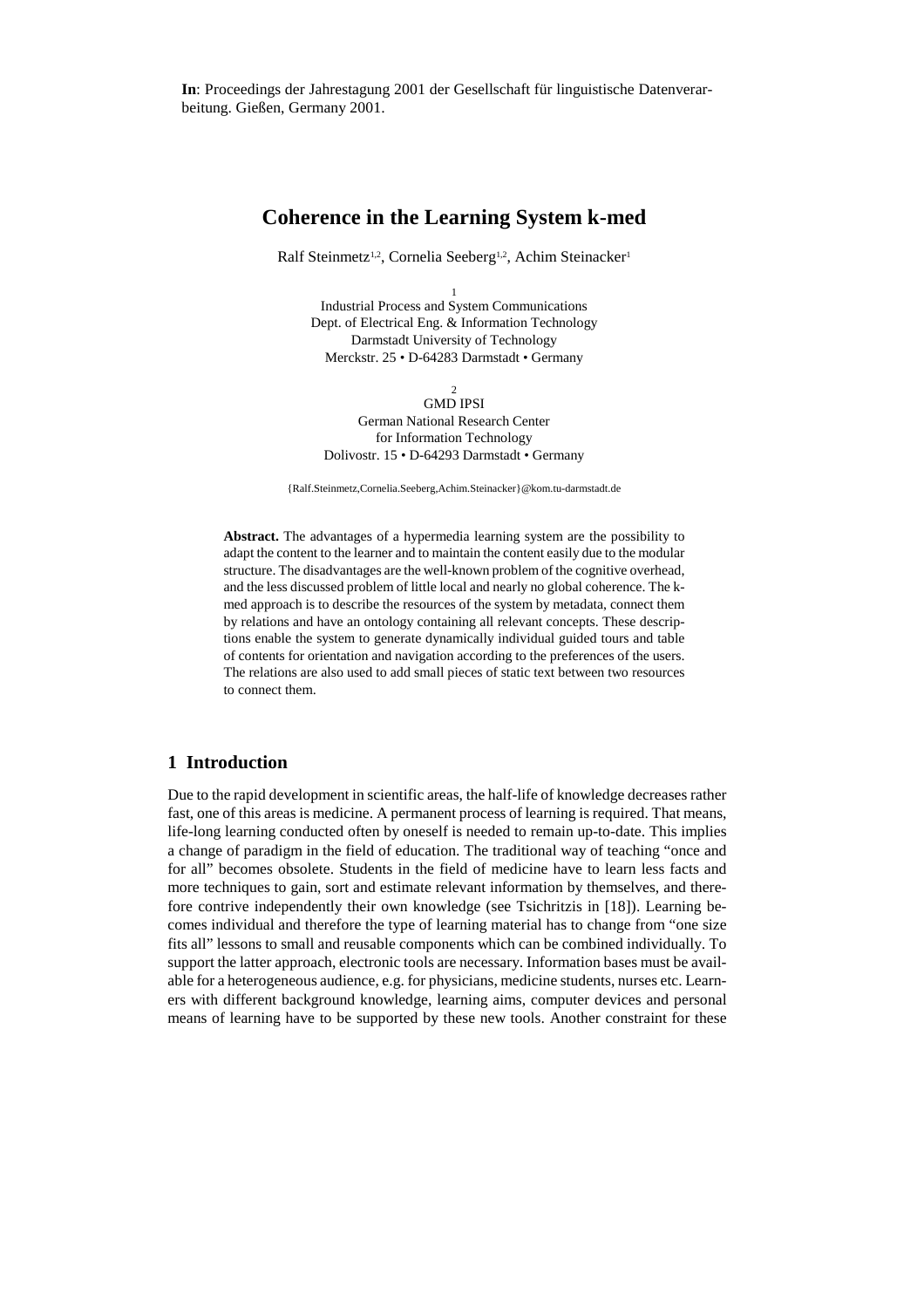**In**: Proceedings der Jahrestagung 2001 der Gesellschaft für linguistische Datenverarbeitung. Gießen, Germany 2001.

# **Coherence in the Learning System k-med**

Ralf Steinmetz<sup>1,2</sup>, Cornelia Seeberg<sup>1,2</sup>, Achim Steinacker<sup>1</sup>

1 Industrial Process and System Communications Dept. of Electrical Eng. & Information Technology Darmstadt University of Technology Merckstr. 25 • D-64283 Darmstadt • Germany

2 GMD IPSI German National Research Center for Information Technology Dolivostr. 15 • D-64293 Darmstadt • Germany

{Ralf.Steinmetz,Cornelia.Seeberg,Achim.Steinacker}@kom.tu-darmstadt.de

**Abstract.** The advantages of a hypermedia learning system are the possibility to adapt the content to the learner and to maintain the content easily due to the modular structure. The disadvantages are the well-known problem of the cognitive overhead, and the less discussed problem of little local and nearly no global coherence. The kmed approach is to describe the resources of the system by metadata, connect them by relations and have an ontology containing all relevant concepts. These descriptions enable the system to generate dynamically individual guided tours and table of contents for orientation and navigation according to the preferences of the users. The relations are also used to add small pieces of static text between two resources to connect them.

## **1 Introduction**

Due to the rapid development in scientific areas, the half-life of knowledge decreases rather fast, one of this areas is medicine. A permanent process of learning is required. That means, life-long learning conducted often by oneself is needed to remain up-to-date. This implies a change of paradigm in the field of education. The traditional way of teaching "once and for all" becomes obsolete. Students in the field of medicine have to learn less facts and more techniques to gain, sort and estimate relevant information by themselves, and therefore contrive independently their own knowledge (see Tsichritzis in [18]). Learning becomes individual and therefore the type of learning material has to change from "one size fits all" lessons to small and reusable components which can be combined individually. To support the latter approach, electronic tools are necessary. Information bases must be available for a heterogeneous audience, e.g. for physicians, medicine students, nurses etc. Learners with different background knowledge, learning aims, computer devices and personal means of learning have to be supported by these new tools. Another constraint for these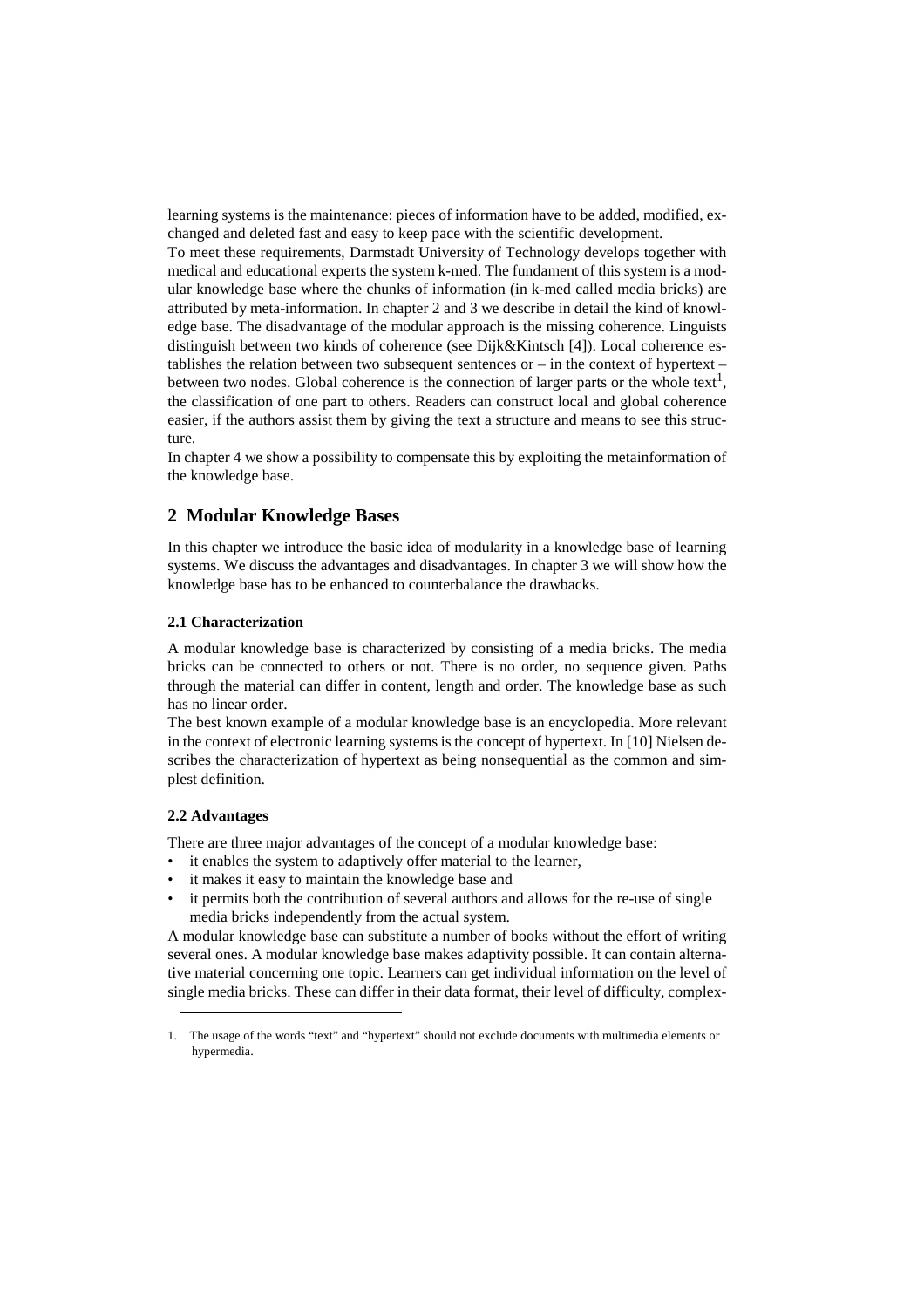learning systems is the maintenance: pieces of information have to be added, modified, exchanged and deleted fast and easy to keep pace with the scientific development.

To meet these requirements, Darmstadt University of Technology develops together with medical and educational experts the system k-med. The fundament of this system is a modular knowledge base where the chunks of information (in k-med called media bricks) are attributed by meta-information. In chapter 2 and 3 we describe in detail the kind of knowledge base. The disadvantage of the modular approach is the missing coherence. Linguists distinguish between two kinds of coherence (see Dijk&Kintsch [4]). Local coherence establishes the relation between two subsequent sentences or  $-$  in the context of hypertext  $$ between two nodes. Global coherence is the connection of larger parts or the whole text<sup>1</sup>, the classification of one part to others. Readers can construct local and global coherence easier, if the authors assist them by giving the text a structure and means to see this structure.

In chapter 4 we show a possibility to compensate this by exploiting the metainformation of the knowledge base.

## **2 Modular Knowledge Bases**

In this chapter we introduce the basic idea of modularity in a knowledge base of learning systems. We discuss the advantages and disadvantages. In chapter 3 we will show how the knowledge base has to be enhanced to counterbalance the drawbacks.

#### **2.1 Characterization**

A modular knowledge base is characterized by consisting of a media bricks. The media bricks can be connected to others or not. There is no order, no sequence given. Paths through the material can differ in content, length and order. The knowledge base as such has no linear order.

The best known example of a modular knowledge base is an encyclopedia. More relevant in the context of electronic learning systems is the concept of hypertext. In [10] Nielsen describes the characterization of hypertext as being nonsequential as the common and simplest definition.

#### **2.2 Advantages**

There are three major advantages of the concept of a modular knowledge base:

- it enables the system to adaptively offer material to the learner,
- it makes it easy to maintain the knowledge base and
- it permits both the contribution of several authors and allows for the re-use of single media bricks independently from the actual system.

A modular knowledge base can substitute a number of books without the effort of writing several ones. A modular knowledge base makes adaptivity possible. It can contain alternative material concerning one topic. Learners can get individual information on the level of single media bricks. These can differ in their data format, their level of difficulty, complex-

<sup>1.</sup> The usage of the words "text" and "hypertext" should not exclude documents with multimedia elements or hypermedia.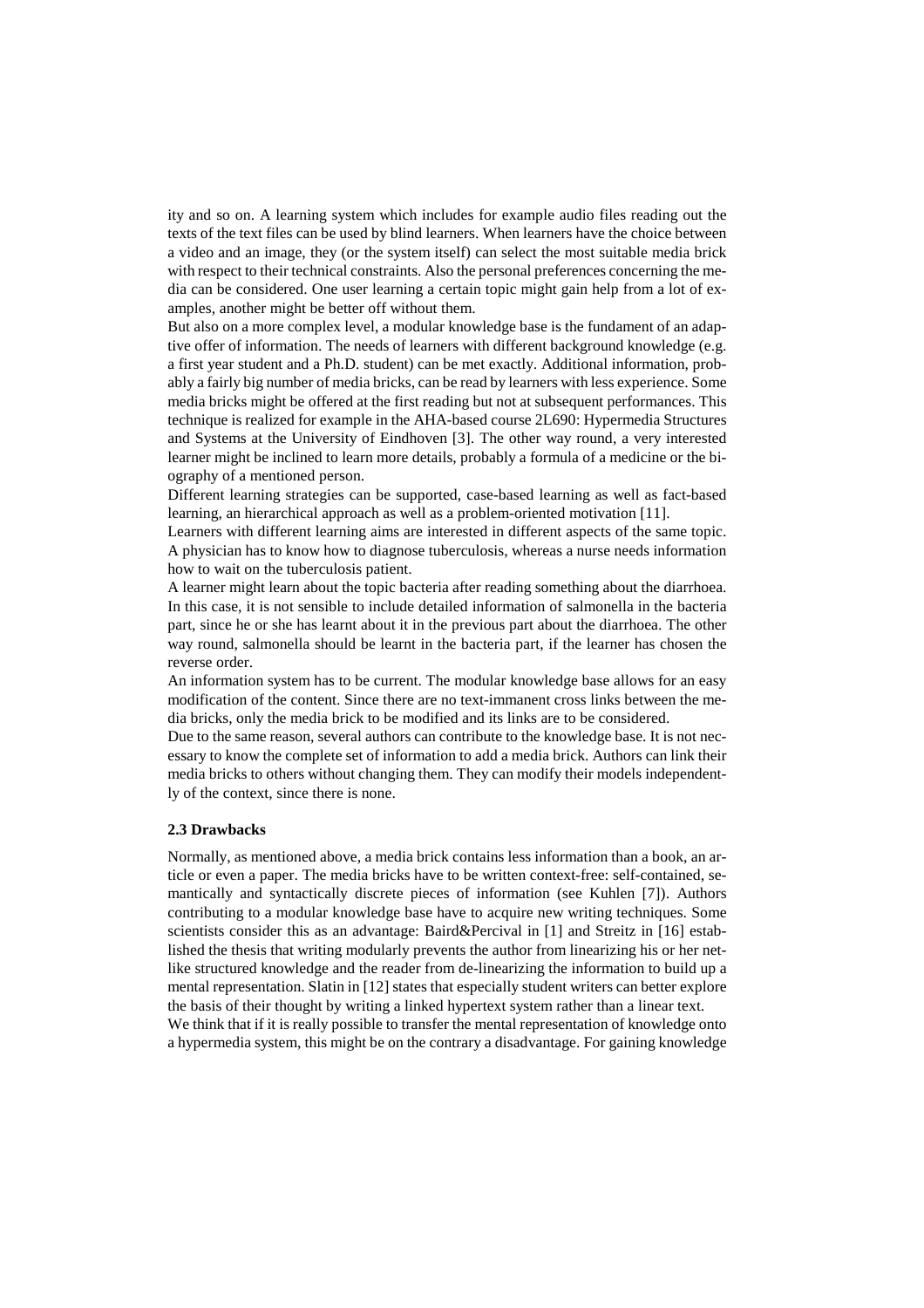ity and so on. A learning system which includes for example audio files reading out the texts of the text files can be used by blind learners. When learners have the choice between a video and an image, they (or the system itself) can select the most suitable media brick with respect to their technical constraints. Also the personal preferences concerning the media can be considered. One user learning a certain topic might gain help from a lot of examples, another might be better off without them.

But also on a more complex level, a modular knowledge base is the fundament of an adaptive offer of information. The needs of learners with different background knowledge (e.g. a first year student and a Ph.D. student) can be met exactly. Additional information, probably a fairly big number of media bricks, can be read by learners with less experience. Some media bricks might be offered at the first reading but not at subsequent performances. This technique is realized for example in the AHA-based course 2L690: Hypermedia Structures and Systems at the University of Eindhoven [3]. The other way round, a very interested learner might be inclined to learn more details, probably a formula of a medicine or the biography of a mentioned person.

Different learning strategies can be supported, case-based learning as well as fact-based learning, an hierarchical approach as well as a problem-oriented motivation [11].

Learners with different learning aims are interested in different aspects of the same topic. A physician has to know how to diagnose tuberculosis, whereas a nurse needs information how to wait on the tuberculosis patient.

A learner might learn about the topic bacteria after reading something about the diarrhoea. In this case, it is not sensible to include detailed information of salmonella in the bacteria part, since he or she has learnt about it in the previous part about the diarrhoea. The other way round, salmonella should be learnt in the bacteria part, if the learner has chosen the reverse order.

An information system has to be current. The modular knowledge base allows for an easy modification of the content. Since there are no text-immanent cross links between the media bricks, only the media brick to be modified and its links are to be considered.

Due to the same reason, several authors can contribute to the knowledge base. It is not necessary to know the complete set of information to add a media brick. Authors can link their media bricks to others without changing them. They can modify their models independently of the context, since there is none.

#### **2.3 Drawbacks**

Normally, as mentioned above, a media brick contains less information than a book, an article or even a paper. The media bricks have to be written context-free: self-contained, semantically and syntactically discrete pieces of information (see Kuhlen [7]). Authors contributing to a modular knowledge base have to acquire new writing techniques. Some scientists consider this as an advantage: Baird&Percival in [1] and Streitz in [16] established the thesis that writing modularly prevents the author from linearizing his or her netlike structured knowledge and the reader from de-linearizing the information to build up a mental representation. Slatin in [12] states that especially student writers can better explore the basis of their thought by writing a linked hypertext system rather than a linear text. We think that if it is really possible to transfer the mental representation of knowledge onto

a hypermedia system, this might be on the contrary a disadvantage. For gaining knowledge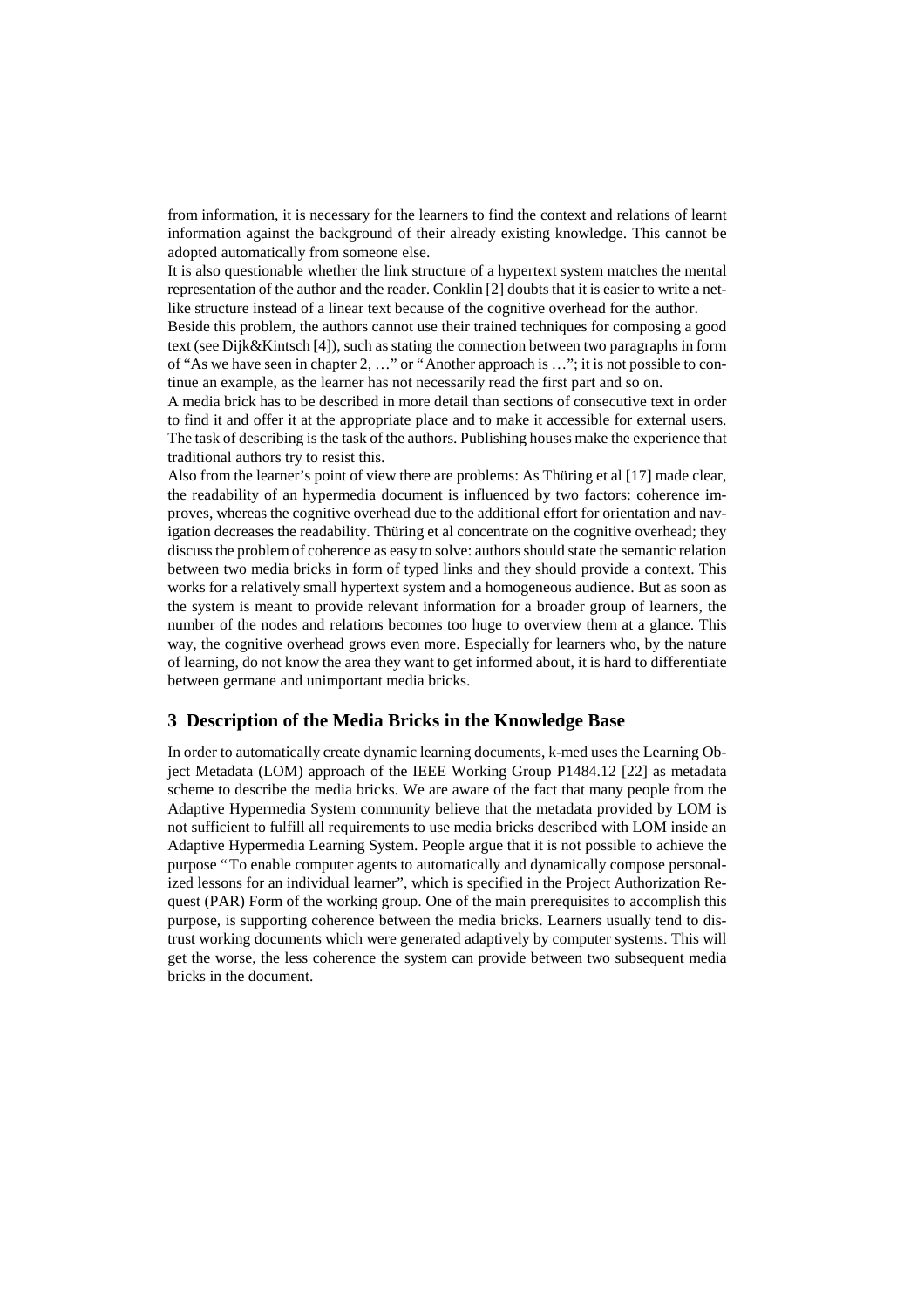from information, it is necessary for the learners to find the context and relations of learnt information against the background of their already existing knowledge. This cannot be adopted automatically from someone else.

It is also questionable whether the link structure of a hypertext system matches the mental representation of the author and the reader. Conklin [2] doubts that it is easier to write a netlike structure instead of a linear text because of the cognitive overhead for the author.

Beside this problem, the authors cannot use their trained techniques for composing a good text (see Dijk&Kintsch [4]), such as stating the connection between two paragraphs in form of "As we have seen in chapter 2, … " or "Another approach is … "; it is not possible to continue an example, as the learner has not necessarily read the first part and so on.

A media brick has to be described in more detail than sections of consecutive text in order to find it and offer it at the appropriate place and to make it accessible for external users. The task of describing is the task of the authors. Publishing houses make the experience that traditional authors try to resist this.

Also from the learner's point of view there are problems: As Thüring et al [17] made clear, the readability of an hypermedia document is influenced by two factors: coherence improves, whereas the cognitive overhead due to the additional effort for orientation and navigation decreases the readability. Thüring et al concentrate on the cognitive overhead; they discuss the problem of coherence as easy to solve: authors should state the semantic relation between two media bricks in form of typed links and they should provide a context. This works for a relatively small hypertext system and a homogeneous audience. But as soon as the system is meant to provide relevant information for a broader group of learners, the number of the nodes and relations becomes too huge to overview them at a glance. This way, the cognitive overhead grows even more. Especially for learners who, by the nature of learning, do not know the area they want to get informed about, it is hard to differentiate between germane and unimportant media bricks.

## **3 Description of the Media Bricks in the Knowledge Base**

In order to automatically create dynamic learning documents, k-med uses the Learning Object Metadata (LOM) approach of the IEEE Working Group P1484.12 [22] as metadata scheme to describe the media bricks. We are aware of the fact that many people from the Adaptive Hypermedia System community believe that the metadata provided by LOM is not sufficient to fulfill all requirements to use media bricks described with LOM inside an Adaptive Hypermedia Learning System. People argue that it is not possible to achieve the purpose "To enable computer agents to automatically and dynamically compose personalized lessons for an individual learner", which is specified in the Project Authorization Request (PAR) Form of the working group. One of the main prerequisites to accomplish this purpose, is supporting coherence between the media bricks. Learners usually tend to distrust working documents which were generated adaptively by computer systems. This will get the worse, the less coherence the system can provide between two subsequent media bricks in the document.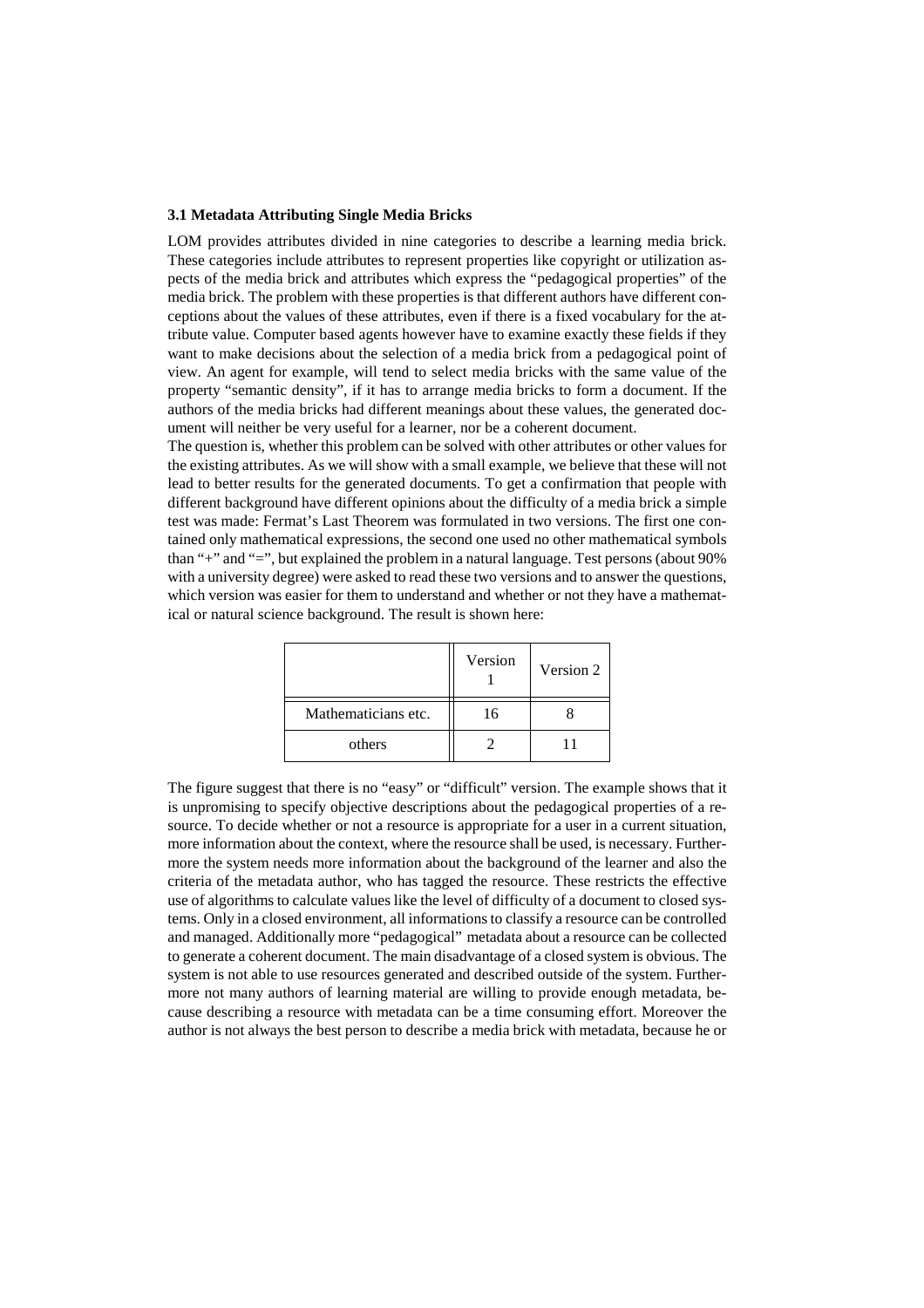### **3.1 Metadata Attributing Single Media Bricks**

LOM provides attributes divided in nine categories to describe a learning media brick. These categories include attributes to represent properties like copyright or utilization aspects of the media brick and attributes which express the "pedagogical properties" of the media brick. The problem with these properties is that different authors have different conceptions about the values of these attributes, even if there is a fixed vocabulary for the attribute value. Computer based agents however have to examine exactly these fields if they want to make decisions about the selection of a media brick from a pedagogical point of view. An agent for example, will tend to select media bricks with the same value of the property "semantic density", if it has to arrange media bricks to form a document. If the authors of the media bricks had different meanings about these values, the generated document will neither be very useful for a learner, nor be a coherent document.

The question is, whether this problem can be solved with other attributes or other values for the existing attributes. As we will show with a small example, we believe that these will not lead to better results for the generated documents. To get a confirmation that people with different background have different opinions about the difficulty of a media brick a simple test was made: Fermat's Last Theorem was formulated in two versions. The first one contained only mathematical expressions, the second one used no other mathematical symbols than "+" and "=", but explained the problem in a natural language. Test persons (about 90% with a university degree) were asked to read these two versions and to answer the questions, which version was easier for them to understand and whether or not they have a mathematical or natural science background. The result is shown here:

|                     | Version | Version 2 |
|---------------------|---------|-----------|
| Mathematicians etc. | 16      |           |
| others              |         |           |

The figure suggest that there is no "easy" or "difficult" version. The example shows that it is unpromising to specify objective descriptions about the pedagogical properties of a resource. To decide whether or not a resource is appropriate for a user in a current situation, more information about the context, where the resource shall be used, is necessary. Furthermore the system needs more information about the background of the learner and also the criteria of the metadata author, who has tagged the resource. These restricts the effective use of algorithms to calculate values like the level of difficulty of a document to closed systems. Only in a closed environment, all informations to classify a resource can be controlled and managed. Additionally more "pedagogical" metadata about a resource can be collected to generate a coherent document. The main disadvantage of a closed system is obvious. The system is not able to use resources generated and described outside of the system. Furthermore not many authors of learning material are willing to provide enough metadata, because describing a resource with metadata can be a time consuming effort. Moreover the author is not always the best person to describe a media brick with metadata, because he or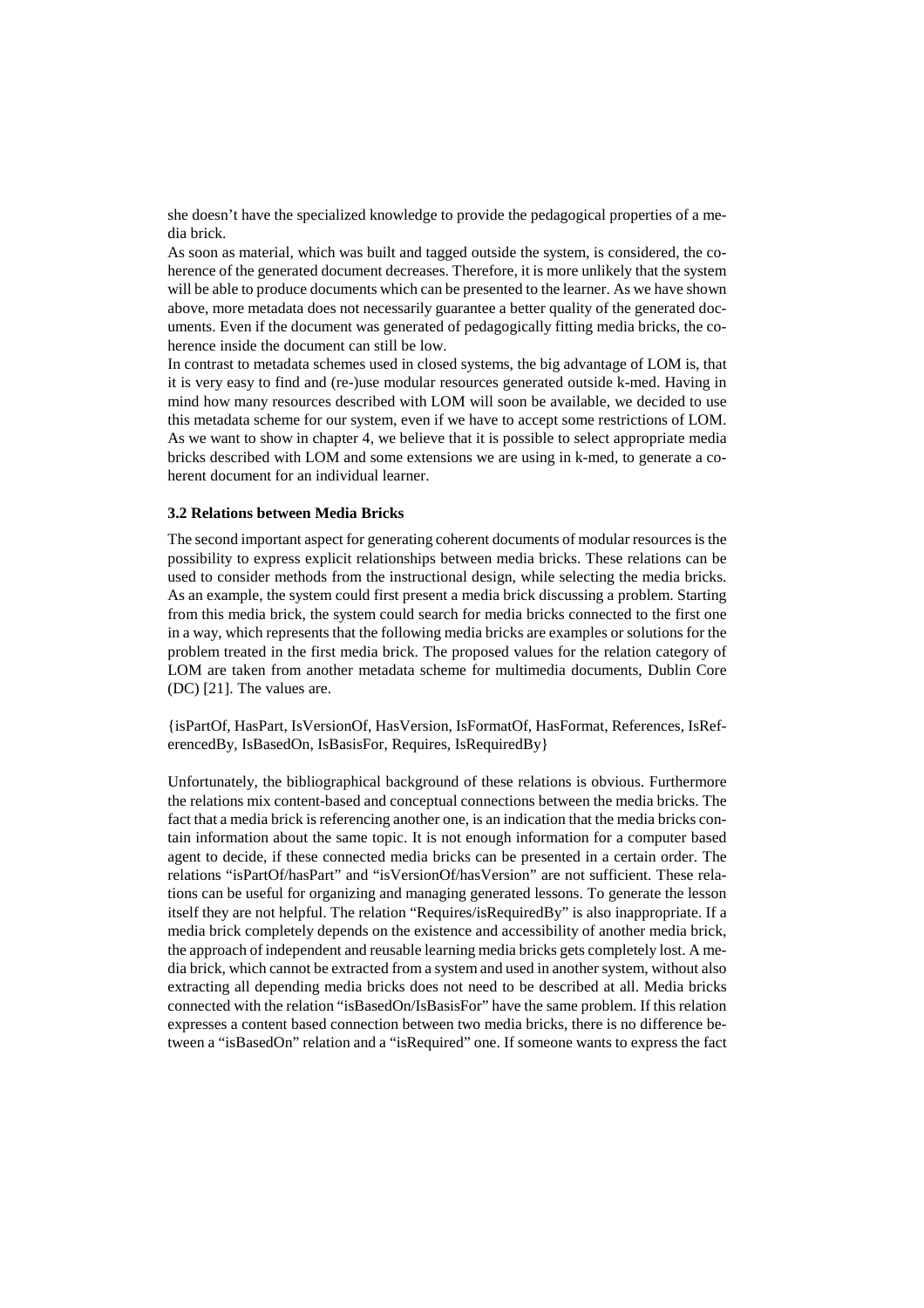she doesn't have the specialized knowledge to provide the pedagogical properties of a media brick.

As soon as material, which was built and tagged outside the system, is considered, the coherence of the generated document decreases. Therefore, it is more unlikely that the system will be able to produce documents which can be presented to the learner. As we have shown above, more metadata does not necessarily guarantee a better quality of the generated documents. Even if the document was generated of pedagogically fitting media bricks, the coherence inside the document can still be low.

In contrast to metadata schemes used in closed systems, the big advantage of LOM is, that it is very easy to find and (re-)use modular resources generated outside k-med. Having in mind how many resources described with LOM will soon be available, we decided to use this metadata scheme for our system, even if we have to accept some restrictions of LOM. As we want to show in chapter 4, we believe that it is possible to select appropriate media bricks described with LOM and some extensions we are using in k-med, to generate a coherent document for an individual learner.

#### **3.2 Relations between Media Bricks**

The second important aspect for generating coherent documents of modular resources is the possibility to express explicit relationships between media bricks. These relations can be used to consider methods from the instructional design, while selecting the media bricks. As an example, the system could first present a media brick discussing a problem. Starting from this media brick, the system could search for media bricks connected to the first one in a way, which represents that the following media bricks are examples or solutions for the problem treated in the first media brick. The proposed values for the relation category of LOM are taken from another metadata scheme for multimedia documents, Dublin Core (DC) [21]. The values are.

{isPartOf, HasPart, IsVersionOf, HasVersion, IsFormatOf, HasFormat, References, IsReferencedBy, IsBasedOn, IsBasisFor, Requires, IsRequiredBy}

Unfortunately, the bibliographical background of these relations is obvious. Furthermore the relations mix content-based and conceptual connections between the media bricks. The fact that a media brick is referencing another one, is an indication that the media bricks contain information about the same topic. It is not enough information for a computer based agent to decide, if these connected media bricks can be presented in a certain order. The relations "isPartOf/hasPart" and "isVersionOf/hasVersion" are not sufficient. These relations can be useful for organizing and managing generated lessons. To generate the lesson itself they are not helpful. The relation "Requires/isRequiredBy" is also inappropriate. If a media brick completely depends on the existence and accessibility of another media brick, the approach of independent and reusable learning media bricks gets completely lost. A media brick, which cannot be extracted from a system and used in another system, without also extracting all depending media bricks does not need to be described at all. Media bricks connected with the relation "isBasedOn/IsBasisFor" have the same problem. If this relation expresses a content based connection between two media bricks, there is no difference between a "isBasedOn" relation and a "isRequired" one. If someone wants to express the fact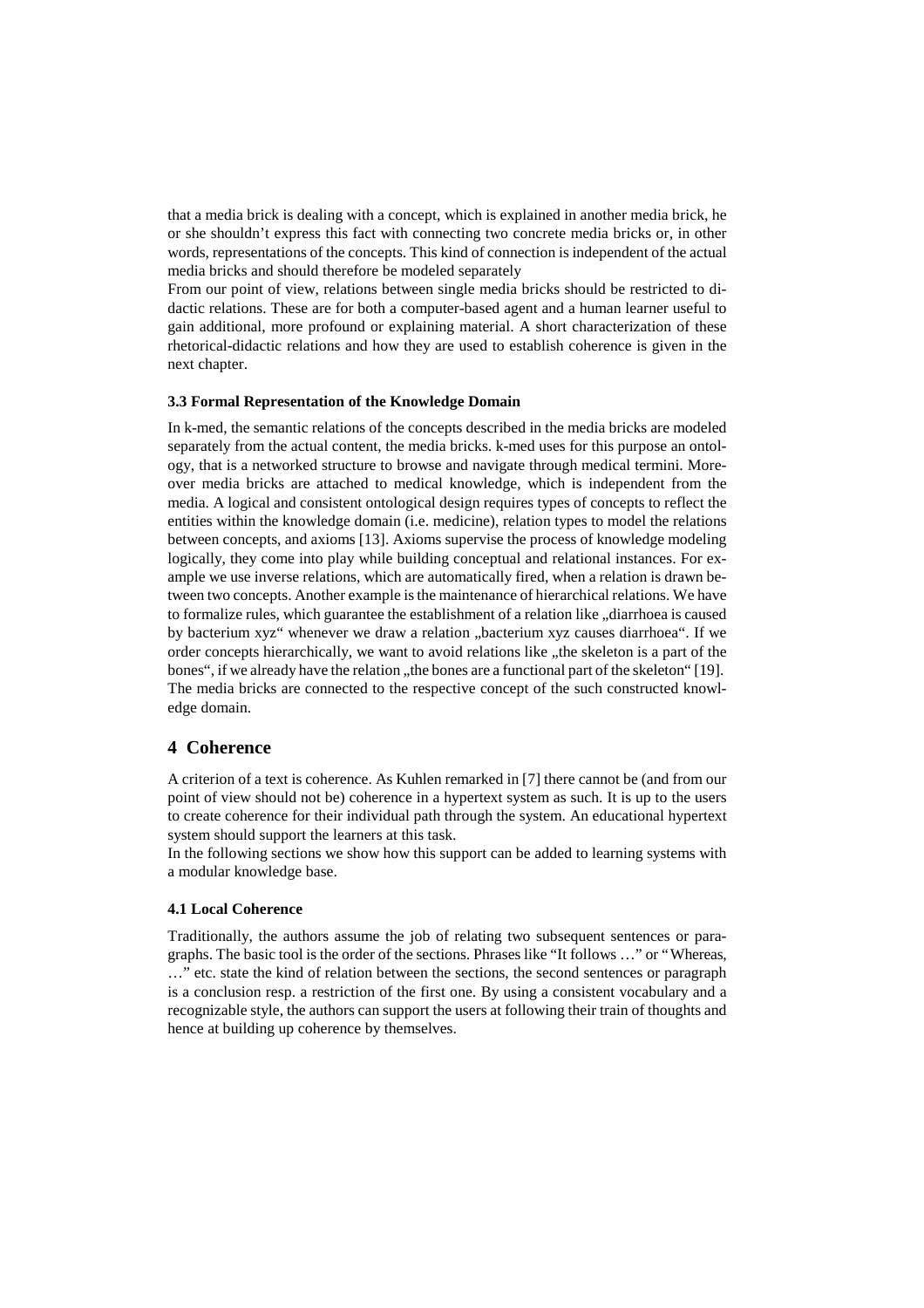that a media brick is dealing with a concept, which is explained in another media brick, he or she shouldn't express this fact with connecting two concrete media bricks or, in other words, representations of the concepts. This kind of connection is independent of the actual media bricks and should therefore be modeled separately

From our point of view, relations between single media bricks should be restricted to didactic relations. These are for both a computer-based agent and a human learner useful to gain additional, more profound or explaining material. A short characterization of these rhetorical-didactic relations and how they are used to establish coherence is given in the next chapter.

#### **3.3 Formal Representation of the Knowledge Domain**

In k-med, the semantic relations of the concepts described in the media bricks are modeled separately from the actual content, the media bricks. k-med uses for this purpose an ontology, that is a networked structure to browse and navigate through medical termini. Moreover media bricks are attached to medical knowledge, which is independent from the media. A logical and consistent ontological design requires types of concepts to reflect the entities within the knowledge domain (i.e. medicine), relation types to model the relations between concepts, and axioms [13]. Axioms supervise the process of knowledge modeling logically, they come into play while building conceptual and relational instances. For example we use inverse relations, which are automatically fired, when a relation is drawn between two concepts. Another example is the maintenance of hierarchical relations. We have to formalize rules, which guarantee the establishment of a relation like "diarrhoea is caused" by bacterium xyz" whenever we draw a relation "bacterium xyz causes diarrhoea". If we order concepts hierarchically, we want to avoid relations like "the skeleton is a part of the bones", if we already have the relation , the bones are a functional part of the skeleton" [19]. The media bricks are connected to the respective concept of the such constructed knowledge domain.

## **4 Coherence**

A criterion of a text is coherence. As Kuhlen remarked in [7] there cannot be (and from our point of view should not be) coherence in a hypertext system as such. It is up to the users to create coherence for their individual path through the system. An educational hypertext system should support the learners at this task.

In the following sections we show how this support can be added to learning systems with a modular knowledge base.

#### **4.1 Local Coherence**

Traditionally, the authors assume the job of relating two subsequent sentences or paragraphs. The basic tool is the order of the sections. Phrases like "It follows … " or "Whereas, … " etc. state the kind of relation between the sections, the second sentences or paragraph is a conclusion resp. a restriction of the first one. By using a consistent vocabulary and a recognizable style, the authors can support the users at following their train of thoughts and hence at building up coherence by themselves.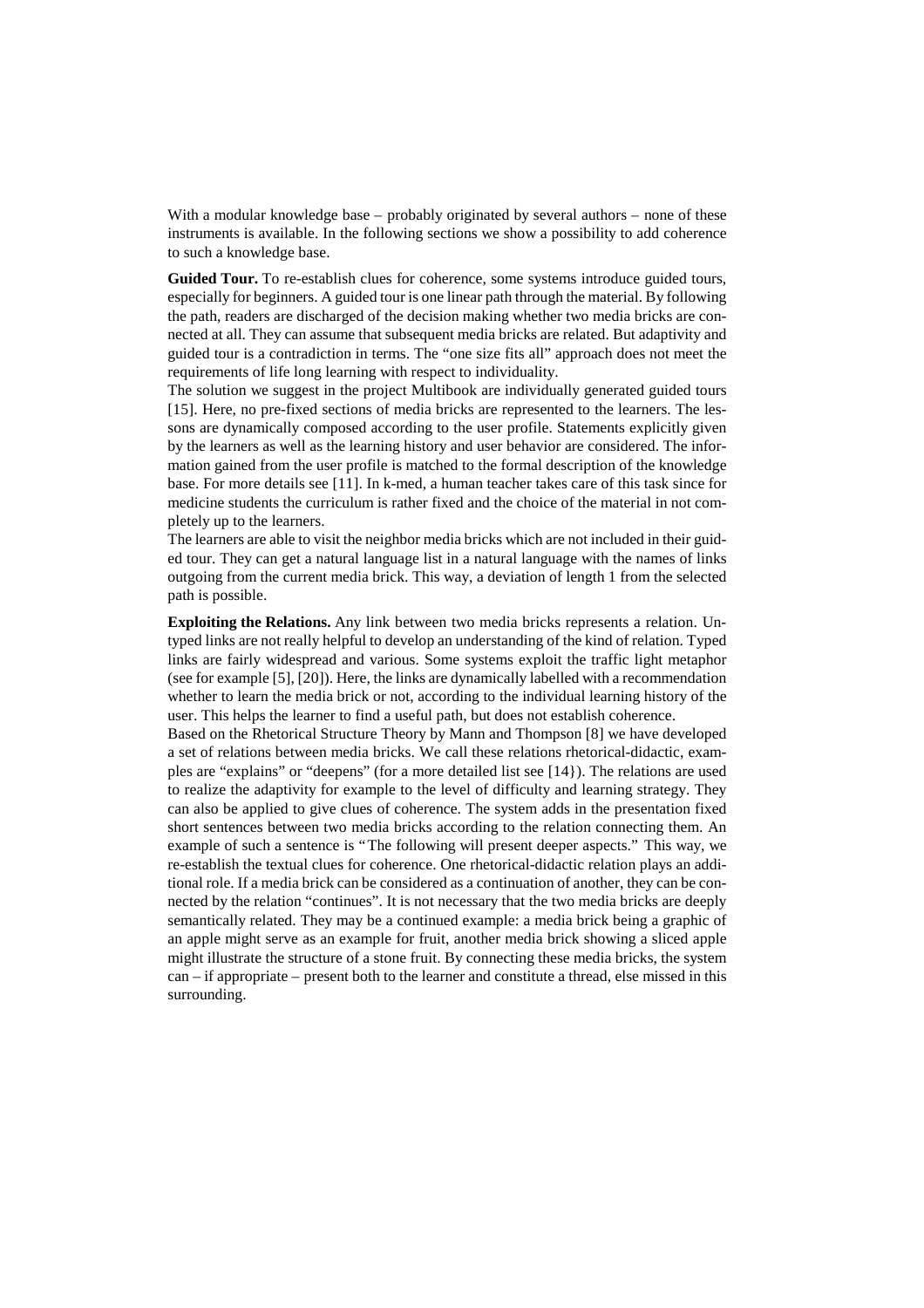With a modular knowledge base – probably originated by several authors – none of these instruments is available. In the following sections we show a possibility to add coherence to such a knowledge base.

**Guided Tour.** To re-establish clues for coherence, some systems introduce guided tours, especially for beginners. A guided tour is one linear path through the material. By following the path, readers are discharged of the decision making whether two media bricks are connected at all. They can assume that subsequent media bricks are related. But adaptivity and guided tour is a contradiction in terms. The "one size fits all" approach does not meet the requirements of life long learning with respect to individuality.

The solution we suggest in the project Multibook are individually generated guided tours [15]. Here, no pre-fixed sections of media bricks are represented to the learners. The lessons are dynamically composed according to the user profile. Statements explicitly given by the learners as well as the learning history and user behavior are considered. The information gained from the user profile is matched to the formal description of the knowledge base. For more details see [11]. In k-med, a human teacher takes care of this task since for medicine students the curriculum is rather fixed and the choice of the material in not completely up to the learners.

The learners are able to visit the neighbor media bricks which are not included in their guided tour. They can get a natural language list in a natural language with the names of links outgoing from the current media brick. This way, a deviation of length 1 from the selected path is possible.

**Exploiting the Relations.** Any link between two media bricks represents a relation. Untyped links are not really helpful to develop an understanding of the kind of relation. Typed links are fairly widespread and various. Some systems exploit the traffic light metaphor (see for example [5], [20]). Here, the links are dynamically labelled with a recommendation whether to learn the media brick or not, according to the individual learning history of the user. This helps the learner to find a useful path, but does not establish coherence.

Based on the Rhetorical Structure Theory by Mann and Thompson [8] we have developed a set of relations between media bricks. We call these relations rhetorical-didactic, examples are "explains" or "deepens" (for a more detailed list see [14}). The relations are used to realize the adaptivity for example to the level of difficulty and learning strategy. They can also be applied to give clues of coherence. The system adds in the presentation fixed short sentences between two media bricks according to the relation connecting them. An example of such a sentence is "The following will present deeper aspects." This way, we re-establish the textual clues for coherence. One rhetorical-didactic relation plays an additional role. If a media brick can be considered as a continuation of another, they can be connected by the relation "continues". It is not necessary that the two media bricks are deeply semantically related. They may be a continued example: a media brick being a graphic of an apple might serve as an example for fruit, another media brick showing a sliced apple might illustrate the structure of a stone fruit. By connecting these media bricks, the system can – if appropriate – present both to the learner and constitute a thread, else missed in this surrounding.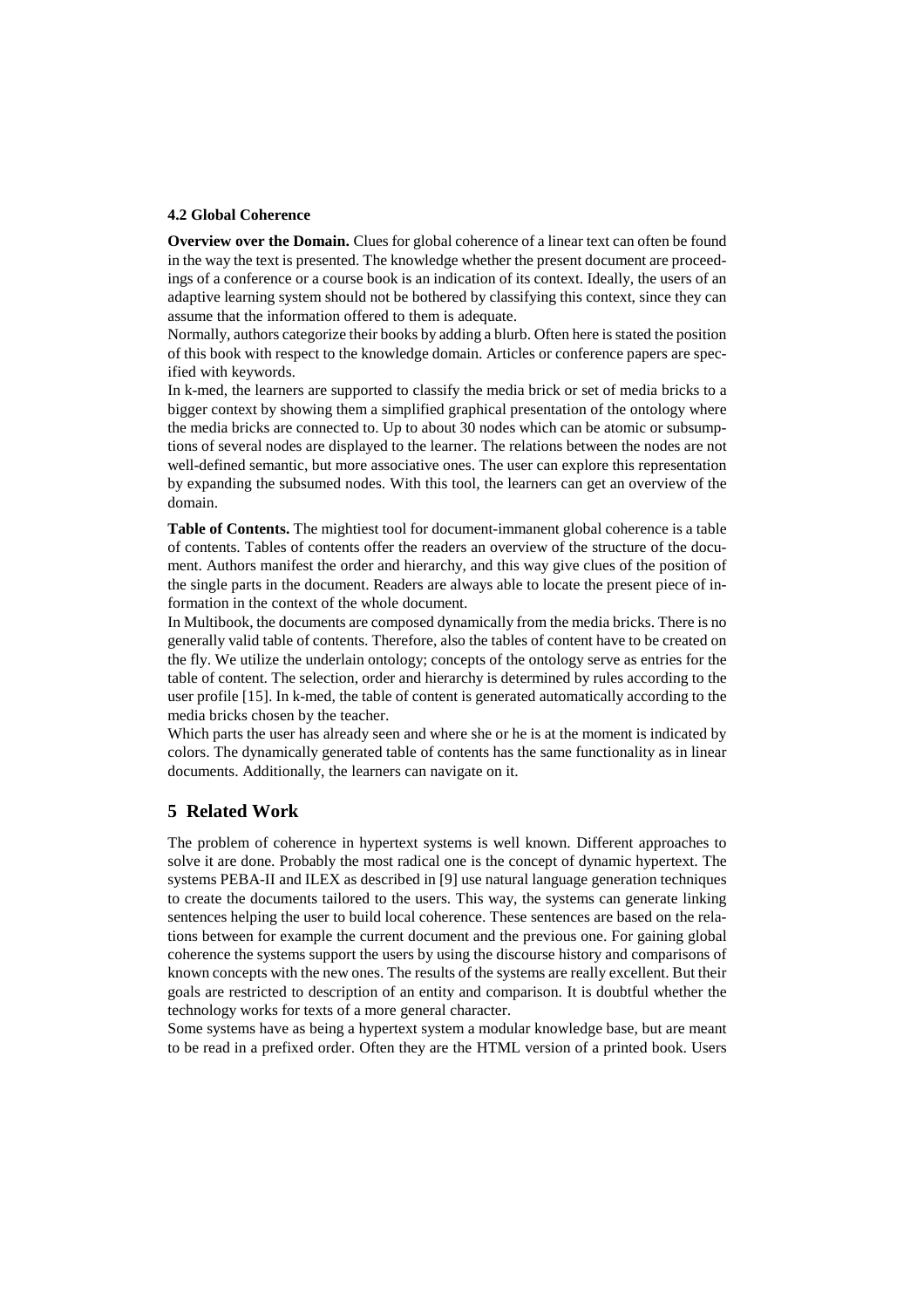### **4.2 Global Coherence**

**Overview over the Domain.** Clues for global coherence of a linear text can often be found in the way the text is presented. The knowledge whether the present document are proceedings of a conference or a course book is an indication of its context. Ideally, the users of an adaptive learning system should not be bothered by classifying this context, since they can assume that the information offered to them is adequate.

Normally, authors categorize their books by adding a blurb. Often here is stated the position of this book with respect to the knowledge domain. Articles or conference papers are specified with keywords.

In k-med, the learners are supported to classify the media brick or set of media bricks to a bigger context by showing them a simplified graphical presentation of the ontology where the media bricks are connected to. Up to about 30 nodes which can be atomic or subsumptions of several nodes are displayed to the learner. The relations between the nodes are not well-defined semantic, but more associative ones. The user can explore this representation by expanding the subsumed nodes. With this tool, the learners can get an overview of the domain.

**Table of Contents.** The mightiest tool for document-immanent global coherence is a table of contents. Tables of contents offer the readers an overview of the structure of the document. Authors manifest the order and hierarchy, and this way give clues of the position of the single parts in the document. Readers are always able to locate the present piece of information in the context of the whole document.

In Multibook, the documents are composed dynamically from the media bricks. There is no generally valid table of contents. Therefore, also the tables of content have to be created on the fly. We utilize the underlain ontology; concepts of the ontology serve as entries for the table of content. The selection, order and hierarchy is determined by rules according to the user profile [15]. In k-med, the table of content is generated automatically according to the media bricks chosen by the teacher.

Which parts the user has already seen and where she or he is at the moment is indicated by colors. The dynamically generated table of contents has the same functionality as in linear documents. Additionally, the learners can navigate on it.

## **5 Related Work**

The problem of coherence in hypertext systems is well known. Different approaches to solve it are done. Probably the most radical one is the concept of dynamic hypertext. The systems PEBA-II and ILEX as described in [9] use natural language generation techniques to create the documents tailored to the users. This way, the systems can generate linking sentences helping the user to build local coherence. These sentences are based on the relations between for example the current document and the previous one. For gaining global coherence the systems support the users by using the discourse history and comparisons of known concepts with the new ones. The results of the systems are really excellent. But their goals are restricted to description of an entity and comparison. It is doubtful whether the technology works for texts of a more general character.

Some systems have as being a hypertext system a modular knowledge base, but are meant to be read in a prefixed order. Often they are the HTML version of a printed book. Users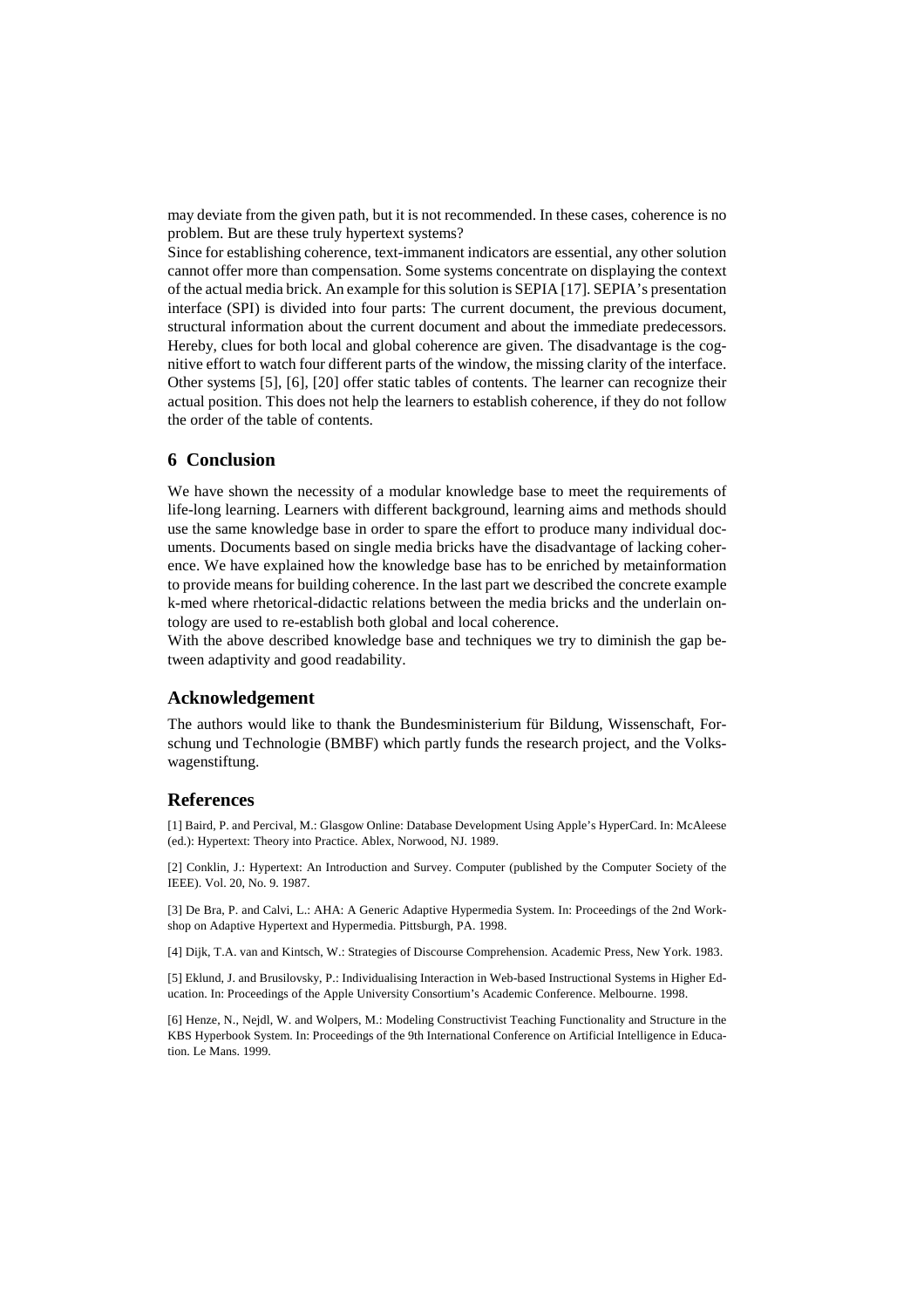may deviate from the given path, but it is not recommended. In these cases, coherence is no problem. But are these truly hypertext systems?

Since for establishing coherence, text-immanent indicators are essential, any other solution cannot offer more than compensation. Some systems concentrate on displaying the context of the actual media brick. An example for this solution is SEPIA [17]. SEPIA's presentation interface (SPI) is divided into four parts: The current document, the previous document, structural information about the current document and about the immediate predecessors. Hereby, clues for both local and global coherence are given. The disadvantage is the cognitive effort to watch four different parts of the window, the missing clarity of the interface. Other systems [5], [6], [20] offer static tables of contents. The learner can recognize their actual position. This does not help the learners to establish coherence, if they do not follow the order of the table of contents.

## **6 Conclusion**

We have shown the necessity of a modular knowledge base to meet the requirements of life-long learning. Learners with different background, learning aims and methods should use the same knowledge base in order to spare the effort to produce many individual documents. Documents based on single media bricks have the disadvantage of lacking coherence. We have explained how the knowledge base has to be enriched by metainformation to provide means for building coherence. In the last part we described the concrete example k-med where rhetorical-didactic relations between the media bricks and the underlain ontology are used to re-establish both global and local coherence.

With the above described knowledge base and techniques we try to diminish the gap between adaptivity and good readability.

### **Acknowledgement**

The authors would like to thank the Bundesministerium für Bildung, Wissenschaft, Forschung und Technologie (BMBF) which partly funds the research project, and the Volkswagenstiftung.

#### **References**

[1] Baird, P. and Percival, M.: Glasgow Online: Database Development Using Apple's HyperCard. In: McAleese (ed.): Hypertext: Theory into Practice. Ablex, Norwood, NJ. 1989.

[2] Conklin, J.: Hypertext: An Introduction and Survey. Computer (published by the Computer Society of the IEEE). Vol. 20, No. 9. 1987.

[3] De Bra, P. and Calvi, L.: AHA: A Generic Adaptive Hypermedia System. In: Proceedings of the 2nd Workshop on Adaptive Hypertext and Hypermedia. Pittsburgh, PA. 1998.

[4] Dijk, T.A. van and Kintsch, W.: Strategies of Discourse Comprehension. Academic Press, New York. 1983.

[5] Eklund, J. and Brusilovsky, P.: Individualising Interaction in Web-based Instructional Systems in Higher Education. In: Proceedings of the Apple University Consortium's Academic Conference. Melbourne. 1998.

[6] Henze, N., Nejdl, W. and Wolpers, M.: Modeling Constructivist Teaching Functionality and Structure in the KBS Hyperbook System. In: Proceedings of the 9th International Conference on Artificial Intelligence in Education. Le Mans. 1999.